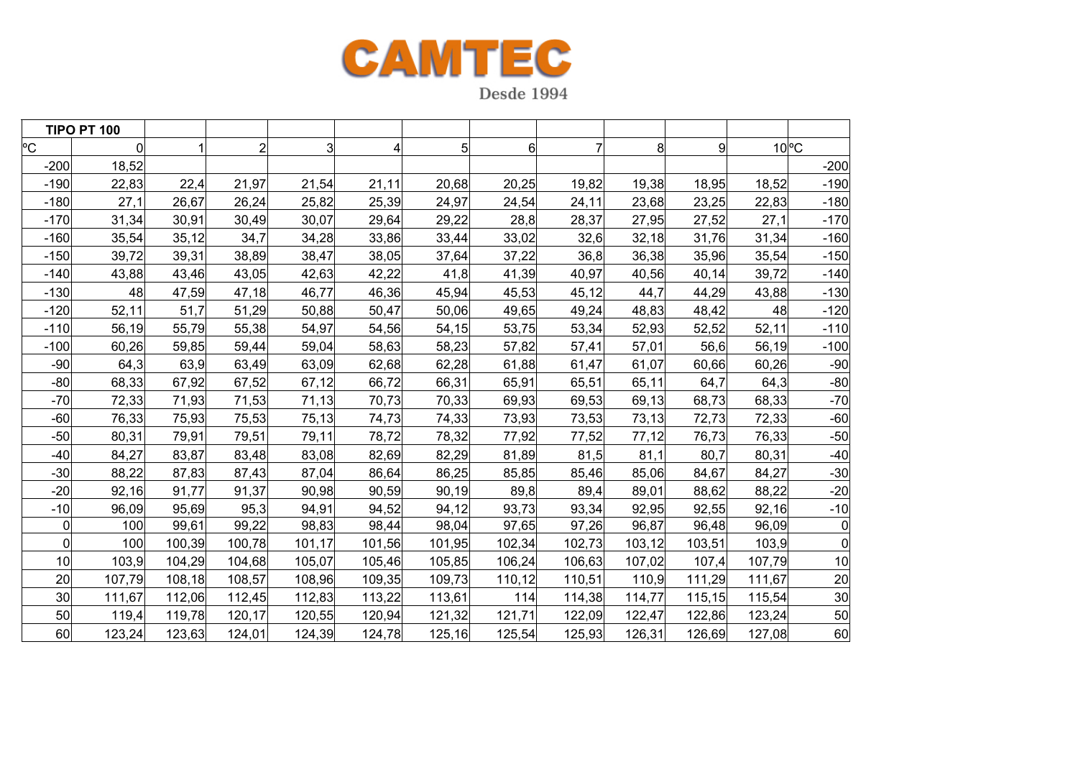

**TIPO PT 100**  $^{\circ}$ C C | 0| 1| 2| 3| 4| 5| 6| 7| 8| 9| 10|°C -2000 18,52 | | | | | | | | | | | | | | | 200  $-190$  22,83 22,4 21,97 21,54 21,11 20,68 20,25 19,82 19,38 18,95 18,52 -190 -1800| 27,1| 26,67| 26,24| 25,82| 25,39| 24,97| 24,54| 24,11| 23,68| 23,25| 22,83| -180 -170 31,34 30,91 30,49 30,07 29,64 29,22 28,8 28,37 27,95 27,52 27,1 -170 -160 35,54 35,12 34,7 34,28 33,86 33,44 33,02 32,6 32,18 31,76 31,34 -160 -150 39,72 39,31 38,89 38,47 38,05 37,64 37,22 36,8 36,38 35,96 35,54 -150 -140 43,88 43,46 43,05 42,63 42,22 41,8 41,39 40,97 40,56 40,14 39,72 -140 -1300| 48| 47,59| 47,18| 46,77| 46,36| 45,94| 45,53| 45,12| 44,7| 44,29| 43,88| -130 -120 52,11 51,7 51,29 50,88 50,47 50,06 49,65 49,24 48,83 48,42 48 -120 -1100| 56,19| 55,79| 55,38| 54,97| 54,56| 54,15| 53,75| 53,34| 52,93| 52,52| 52,11| -110  $-100$  60,26 59,85 59,44 59,04 58,63 58,23 57,82 57,41 57,01 56,6 56,19 -100 -90 64,3 63,9 63,49 63,09 62,68 62,28 61,88 61,47 61,07 60,66 60,26 -90 -800| 68,33| 67,92| 67,52| 67,12| 66,72| 66,31| 65,91| 65,51| 65,11| 64,7| 64,3| -80 -700| 72,33| 71,93| 71,53| 71,13| 70,73| 70,33| 69,93| 69,53| 69,13| 68,73| 68,33| -70 -60 76,33 75,93 75,53 75,13 74,73 74,33 73,93 73,53 73,13 72,73 72,33 -60 -500| 80,31| 79,91| 79,51| 79,11| 78,72| 78,32| 77,92| 77,52| 77,12| 76,73| 76,33| -50 -400| 84,27| 83,87| 83,48| 83,08| 82,69| 82,29| 81,89| 81,5| 81,1| 80,7| 80,31| -40 -300| 88,22| 87,83| 87,43| 87,04| 86,64| 86,25| 85,85| 85,46| 85,06| 84,67| 84,27| -30 -200| 92,16| 91,77| 91,37| 90,98| 90,59| 90,19| 89,8| 89,4| 89,01| 88,62| 88,22| -20 -100| 96,09| 95,69| 95,3| 94,91| 94,52| 94,12| 93,73| 93,34| 92,95| 92,55| 92,16| -10  $\Omega$ 0| 100| 99,61| 99,22| 98,83| 98,44| 98,04| 97,65| 97,26| 96,87| 96,48| 96,09| 0  $\Omega$ 0 100| 100,39| 100,78| 101,17| 101,56| 101,95| 102,34| 102,73| 103,12| 103,51| 103,9| 0 100| 103,9| 104,29| 104,68| 105,07| 105,46| 105,85| 106,62| 107,02| 107,4| 107,79| 10 200| 107,79| 108,18| 108,57| 108,96| 109,35| 109,73| 110,12| 110,51| 110,9| 111,29| 111,67| 20 300| 111,67| 112,06| 112,45| 112,83| 113,22| 113,61| 114| 114,38| 114,77| 115,15| 115,54| 30 500| 119,4| 119,78| 120,17| 120,55| 120,94| 121,32| 121,71| 122,09| 122,47| 122,86| 123,24| 50 600| 123,24| 123,63| 124,01| 124,39| 124,78| 125,16| 125,54| 125,93| 126,31| 126,69| 127,08| 60